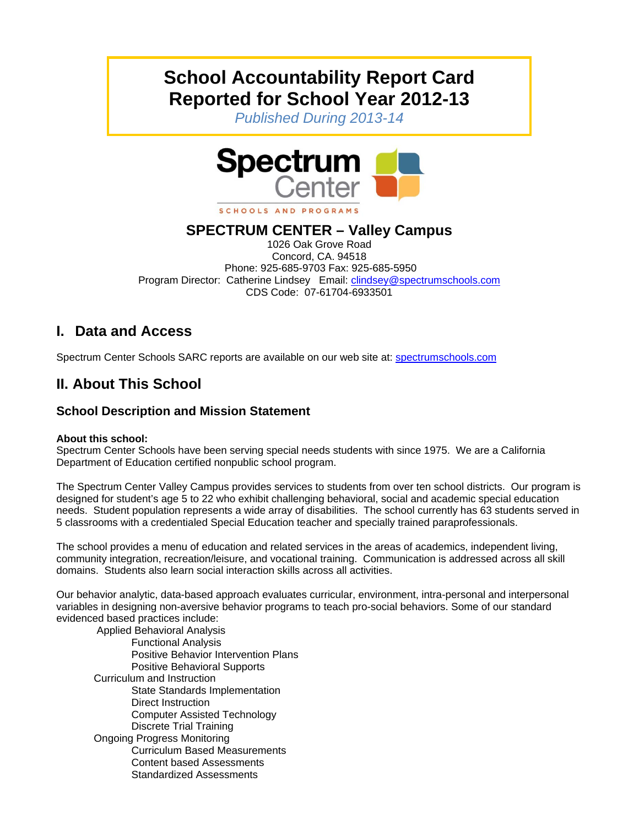# **School Accountability Report Card Reported for School Year 2012-13**

*Published During 2013-14* 



#### SCHOOLS AND PROGRAMS

## **SPECTRUM CENTER – Valley Campus**

1026 Oak Grove Road Concord, CA. 94518 Phone: 925-685-9703 Fax: 925-685-5950 Program Director: Catherine Lindsey Email: clindsey@spectrumschools.com CDS Code: 07-61704-6933501

## **I. Data and Access**

Spectrum Center Schools SARC reports are available on our web site at: spectrumschools.com

## **II. About This School**

### **School Description and Mission Statement**

#### **About this school:**

Spectrum Center Schools have been serving special needs students with since 1975. We are a California Department of Education certified nonpublic school program.

The Spectrum Center Valley Campus provides services to students from over ten school districts. Our program is designed for student's age 5 to 22 who exhibit challenging behavioral, social and academic special education needs. Student population represents a wide array of disabilities. The school currently has 63 students served in 5 classrooms with a credentialed Special Education teacher and specially trained paraprofessionals.

The school provides a menu of education and related services in the areas of academics, independent living, community integration, recreation/leisure, and vocational training. Communication is addressed across all skill domains. Students also learn social interaction skills across all activities.

Our behavior analytic, data-based approach evaluates curricular, environment, intra-personal and interpersonal variables in designing non-aversive behavior programs to teach pro-social behaviors. Some of our standard evidenced based practices include:

 Applied Behavioral Analysis Functional Analysis Positive Behavior Intervention Plans Positive Behavioral Supports Curriculum and Instruction State Standards Implementation Direct Instruction Computer Assisted Technology Discrete Trial Training Ongoing Progress Monitoring Curriculum Based Measurements Content based Assessments Standardized Assessments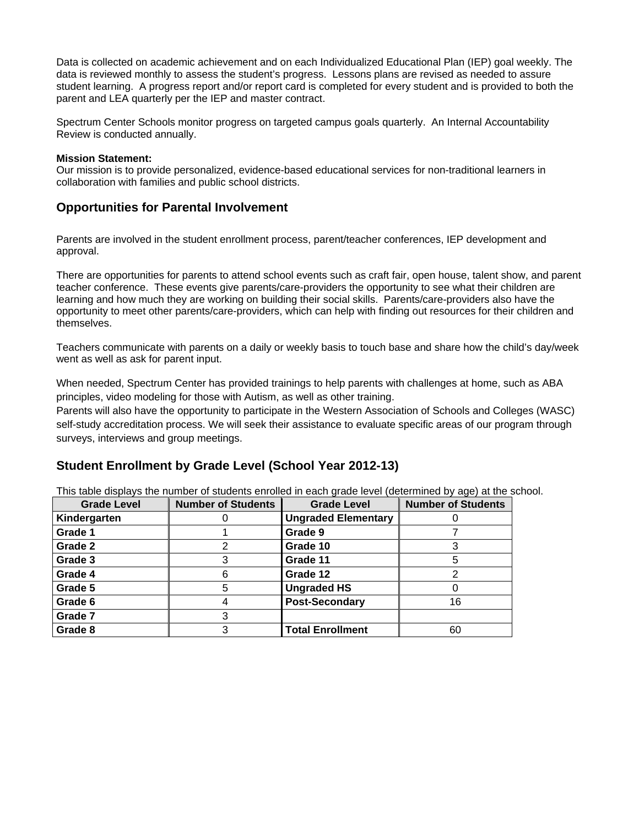Data is collected on academic achievement and on each Individualized Educational Plan (IEP) goal weekly. The data is reviewed monthly to assess the student's progress. Lessons plans are revised as needed to assure student learning. A progress report and/or report card is completed for every student and is provided to both the parent and LEA quarterly per the IEP and master contract.

Spectrum Center Schools monitor progress on targeted campus goals quarterly. An Internal Accountability Review is conducted annually.

#### **Mission Statement:**

Our mission is to provide personalized, evidence-based educational services for non-traditional learners in collaboration with families and public school districts.

#### **Opportunities for Parental Involvement**

Parents are involved in the student enrollment process, parent/teacher conferences, IEP development and approval.

There are opportunities for parents to attend school events such as craft fair, open house, talent show, and parent teacher conference. These events give parents/care-providers the opportunity to see what their children are learning and how much they are working on building their social skills. Parents/care-providers also have the opportunity to meet other parents/care-providers, which can help with finding out resources for their children and themselves.

Teachers communicate with parents on a daily or weekly basis to touch base and share how the child's day/week went as well as ask for parent input.

When needed, Spectrum Center has provided trainings to help parents with challenges at home, such as ABA principles, video modeling for those with Autism, as well as other training.

Parents will also have the opportunity to participate in the Western Association of Schools and Colleges (WASC) self-study accreditation process. We will seek their assistance to evaluate specific areas of our program through surveys, interviews and group meetings.

### **Student Enrollment by Grade Level (School Year 2012-13)**

This table displays the number of students enrolled in each grade level (determined by age) at the school.

| <b>Grade Level</b> | <b>Number of Students</b> | <b>Grade Level</b>         | <b>Number of Students</b> |
|--------------------|---------------------------|----------------------------|---------------------------|
| Kindergarten       |                           | <b>Ungraded Elementary</b> |                           |
| Grade 1            |                           | Grade 9                    |                           |
| Grade 2            | 2                         | Grade 10                   |                           |
| Grade 3            | 3                         | Grade 11                   | 5                         |
| Grade 4            | 6                         | Grade 12                   |                           |
| Grade 5            | 5                         | <b>Ungraded HS</b>         |                           |
| Grade 6            |                           | <b>Post-Secondary</b>      | 16                        |
| Grade 7            | 3                         |                            |                           |
| Grade 8            | 3                         | <b>Total Enrollment</b>    | 60                        |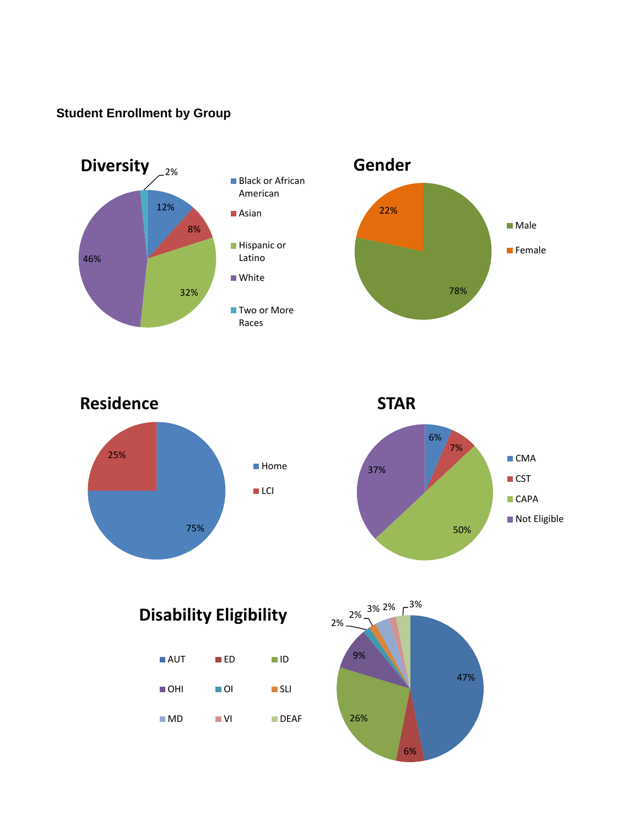## **Student Enrollment by Group**





**Residence**



**STAR**



**Disability Eligibility**

| $\blacksquare$ AUT | $\blacksquare$ ED | II ID               |
|--------------------|-------------------|---------------------|
| ∎OHI               | ⊟ OI              | $\blacksquare$ SLI  |
| $\blacksquare$ MD  | ∎ VI              | $\blacksquare$ DFAF |

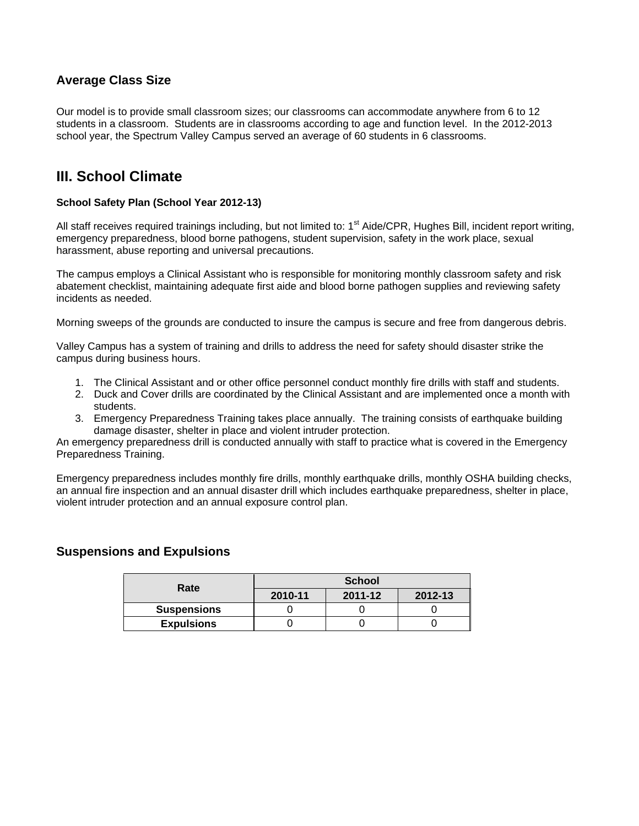## **Average Class Size**

Our model is to provide small classroom sizes; our classrooms can accommodate anywhere from 6 to 12 students in a classroom. Students are in classrooms according to age and function level. In the 2012-2013 school year, the Spectrum Valley Campus served an average of 60 students in 6 classrooms.

## **III. School Climate**

#### **School Safety Plan (School Year 2012-13)**

All staff receives required trainings including, but not limited to:  $1<sup>st</sup>$  Aide/CPR, Hughes Bill, incident report writing, emergency preparedness, blood borne pathogens, student supervision, safety in the work place, sexual harassment, abuse reporting and universal precautions.

The campus employs a Clinical Assistant who is responsible for monitoring monthly classroom safety and risk abatement checklist, maintaining adequate first aide and blood borne pathogen supplies and reviewing safety incidents as needed.

Morning sweeps of the grounds are conducted to insure the campus is secure and free from dangerous debris.

Valley Campus has a system of training and drills to address the need for safety should disaster strike the campus during business hours.

- 1. The Clinical Assistant and or other office personnel conduct monthly fire drills with staff and students.
- 2. Duck and Cover drills are coordinated by the Clinical Assistant and are implemented once a month with students.
- 3. Emergency Preparedness Training takes place annually. The training consists of earthquake building damage disaster, shelter in place and violent intruder protection.

An emergency preparedness drill is conducted annually with staff to practice what is covered in the Emergency Preparedness Training.

Emergency preparedness includes monthly fire drills, monthly earthquake drills, monthly OSHA building checks, an annual fire inspection and an annual disaster drill which includes earthquake preparedness, shelter in place, violent intruder protection and an annual exposure control plan.

### **Suspensions and Expulsions**

| Rate               | <b>School</b> |         |         |  |
|--------------------|---------------|---------|---------|--|
|                    | 2010-11       | 2011-12 | 2012-13 |  |
| <b>Suspensions</b> |               |         |         |  |
| <b>Expulsions</b>  |               |         |         |  |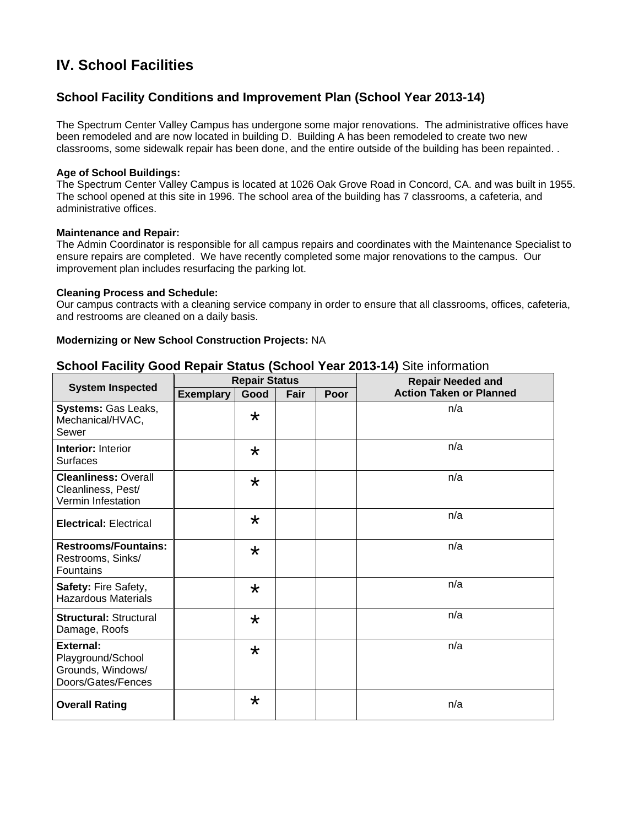## **IV. School Facilities**

## **School Facility Conditions and Improvement Plan (School Year 2013-14)**

The Spectrum Center Valley Campus has undergone some major renovations. The administrative offices have been remodeled and are now located in building D. Building A has been remodeled to create two new classrooms, some sidewalk repair has been done, and the entire outside of the building has been repainted. .

#### **Age of School Buildings:**

The Spectrum Center Valley Campus is located at 1026 Oak Grove Road in Concord, CA. and was built in 1955. The school opened at this site in 1996. The school area of the building has 7 classrooms, a cafeteria, and administrative offices.

#### **Maintenance and Repair:**

The Admin Coordinator is responsible for all campus repairs and coordinates with the Maintenance Specialist to ensure repairs are completed. We have recently completed some major renovations to the campus. Our improvement plan includes resurfacing the parking lot.

#### **Cleaning Process and Schedule:**

Our campus contracts with a cleaning service company in order to ensure that all classrooms, offices, cafeteria, and restrooms are cleaned on a daily basis.

#### **Modernizing or New School Construction Projects:** NA

#### **School Facility Good Repair Status (School Year 2013-14)** Site information

|                                                                           | <b>Repair Status</b> |         |      |      | <b>Repair Needed and</b>       |  |
|---------------------------------------------------------------------------|----------------------|---------|------|------|--------------------------------|--|
| <b>System Inspected</b>                                                   | <b>Exemplary</b>     | Good    | Fair | Poor | <b>Action Taken or Planned</b> |  |
| Systems: Gas Leaks,<br>Mechanical/HVAC,<br>Sewer                          |                      | $\star$ |      |      | n/a                            |  |
| <b>Interior: Interior</b><br><b>Surfaces</b>                              |                      | $\star$ |      |      | n/a                            |  |
| <b>Cleanliness: Overall</b><br>Cleanliness, Pest/<br>Vermin Infestation   |                      | $\star$ |      |      | n/a                            |  |
| <b>Electrical: Electrical</b>                                             |                      | $\star$ |      |      | n/a                            |  |
| <b>Restrooms/Fountains:</b><br>Restrooms, Sinks/<br>Fountains             |                      | $\star$ |      |      | n/a                            |  |
| Safety: Fire Safety,<br><b>Hazardous Materials</b>                        |                      | $\star$ |      |      | n/a                            |  |
| <b>Structural: Structural</b><br>Damage, Roofs                            |                      | $\star$ |      |      | n/a                            |  |
| External:<br>Playground/School<br>Grounds, Windows/<br>Doors/Gates/Fences |                      | $\star$ |      |      | n/a                            |  |
| <b>Overall Rating</b>                                                     |                      | $\star$ |      |      | n/a                            |  |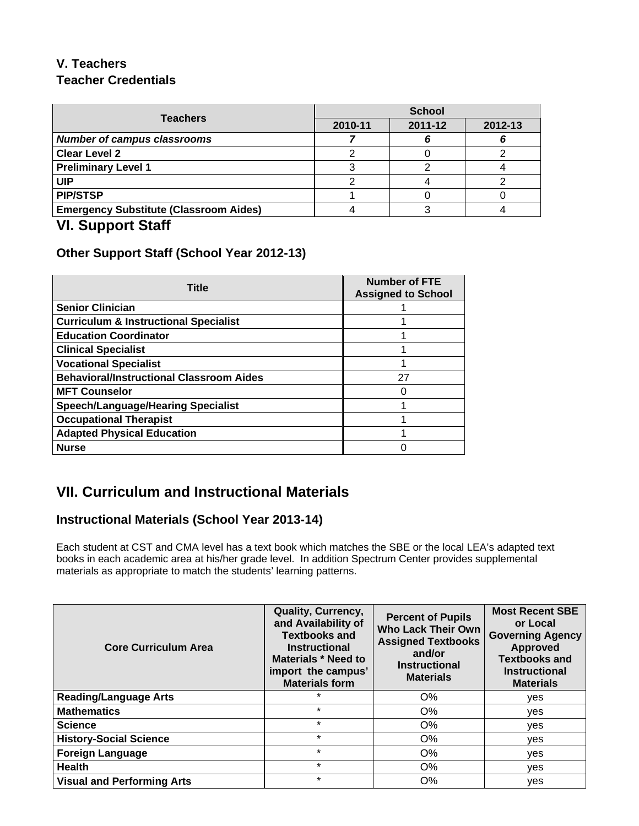## **V. Teachers Teacher Credentials**

| <b>Teachers</b>                               | <b>School</b> |         |         |  |
|-----------------------------------------------|---------------|---------|---------|--|
|                                               | 2010-11       | 2011-12 | 2012-13 |  |
| <b>Number of campus classrooms</b>            |               |         |         |  |
| <b>Clear Level 2</b>                          |               |         |         |  |
| <b>Preliminary Level 1</b>                    |               |         |         |  |
| UIP                                           |               |         |         |  |
| <b>PIP/STSP</b>                               |               |         |         |  |
| <b>Emergency Substitute (Classroom Aides)</b> |               |         |         |  |
|                                               |               |         |         |  |

## **VI. Support Staff**

## **Other Support Staff (School Year 2012-13)**

| <b>Title</b>                                     | <b>Number of FTE</b><br><b>Assigned to School</b> |
|--------------------------------------------------|---------------------------------------------------|
| <b>Senior Clinician</b>                          |                                                   |
| <b>Curriculum &amp; Instructional Specialist</b> |                                                   |
| <b>Education Coordinator</b>                     |                                                   |
| <b>Clinical Specialist</b>                       |                                                   |
| <b>Vocational Specialist</b>                     |                                                   |
| <b>Behavioral/Instructional Classroom Aides</b>  | 27                                                |
| <b>MFT Counselor</b>                             | 0                                                 |
| <b>Speech/Language/Hearing Specialist</b>        |                                                   |
| <b>Occupational Therapist</b>                    |                                                   |
| <b>Adapted Physical Education</b>                |                                                   |
| <b>Nurse</b>                                     |                                                   |

## **VII. Curriculum and Instructional Materials**

## **Instructional Materials (School Year 2013-14)**

Each student at CST and CMA level has a text book which matches the SBE or the local LEA's adapted text books in each academic area at his/her grade level. In addition Spectrum Center provides supplemental materials as appropriate to match the students' learning patterns.

| <b>Core Curriculum Area</b>       | <b>Quality, Currency,</b><br>and Availability of<br><b>Textbooks and</b><br><b>Instructional</b><br>Materials * Need to<br>import the campus'<br><b>Materials form</b> | <b>Percent of Pupils</b><br><b>Who Lack Their Own</b><br><b>Assigned Textbooks</b><br>and/or<br><b>Instructional</b><br><b>Materials</b> | <b>Most Recent SBE</b><br>or Local<br><b>Governing Agency</b><br><b>Approved</b><br><b>Textbooks and</b><br><b>Instructional</b><br><b>Materials</b> |
|-----------------------------------|------------------------------------------------------------------------------------------------------------------------------------------------------------------------|------------------------------------------------------------------------------------------------------------------------------------------|------------------------------------------------------------------------------------------------------------------------------------------------------|
| <b>Reading/Language Arts</b>      | *                                                                                                                                                                      | O%                                                                                                                                       | yes                                                                                                                                                  |
| <b>Mathematics</b>                | $\star$                                                                                                                                                                | O%                                                                                                                                       | <b>ves</b>                                                                                                                                           |
| <b>Science</b>                    | $\star$                                                                                                                                                                | O%                                                                                                                                       | <b>ves</b>                                                                                                                                           |
| <b>History-Social Science</b>     | $\star$                                                                                                                                                                | O%                                                                                                                                       | yes                                                                                                                                                  |
| <b>Foreign Language</b>           | $\star$                                                                                                                                                                | $O\%$                                                                                                                                    | yes                                                                                                                                                  |
| <b>Health</b>                     | $\star$                                                                                                                                                                | O%                                                                                                                                       | yes                                                                                                                                                  |
| <b>Visual and Performing Arts</b> | $\star$                                                                                                                                                                | $O\%$                                                                                                                                    | ves                                                                                                                                                  |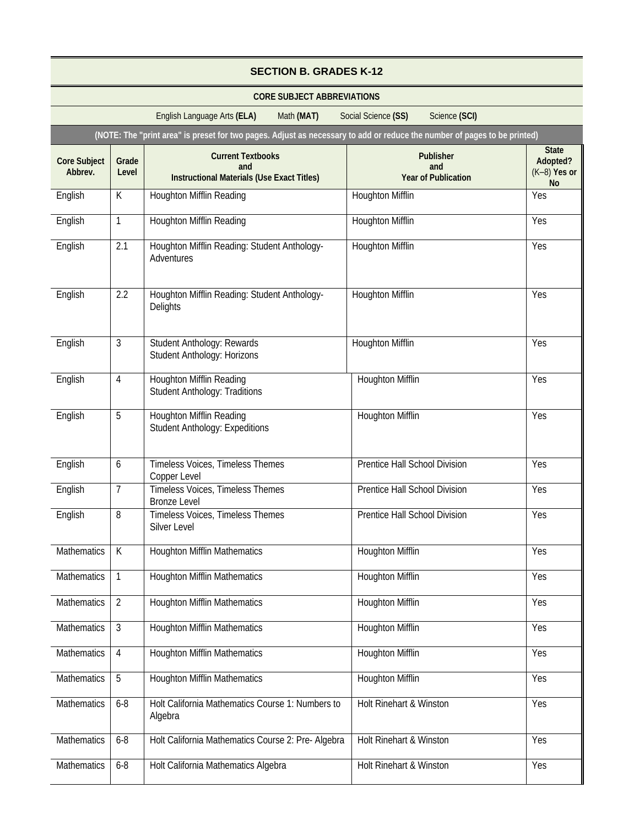| <b>SECTION B. GRADES K-12</b>  |                |                                                                                                                          |                                                       |                                                         |
|--------------------------------|----------------|--------------------------------------------------------------------------------------------------------------------------|-------------------------------------------------------|---------------------------------------------------------|
|                                |                | <b>CORE SUBJECT ABBREVIATIONS</b>                                                                                        |                                                       |                                                         |
|                                |                | English Language Arts (ELA)<br>Math (MAT)                                                                                | Science (SCI)<br>Social Science (SS)                  |                                                         |
|                                |                | (NOTE: The "print area" is preset for two pages. Adjust as necessary to add or reduce the number of pages to be printed) |                                                       |                                                         |
| <b>Core Subject</b><br>Abbrev. | Grade<br>Level | <b>Current Textbooks</b><br>and<br><b>Instructional Materials (Use Exact Titles)</b>                                     | <b>Publisher</b><br>and<br><b>Year of Publication</b> | <b>State</b><br>Adopted?<br>$(K-8)$ Yes or<br><b>No</b> |
| English                        | К              | <b>Houghton Mifflin Reading</b>                                                                                          | <b>Houghton Mifflin</b>                               | Yes                                                     |
| English                        | 1              | <b>Houghton Mifflin Reading</b>                                                                                          | <b>Houghton Mifflin</b>                               | Yes                                                     |
| English                        | 2.1            | Houghton Mifflin Reading: Student Anthology-<br>Adventures                                                               | <b>Houghton Mifflin</b>                               | Yes                                                     |
| English                        | 2.2            | Houghton Mifflin Reading: Student Anthology-<br>Delights                                                                 | <b>Houghton Mifflin</b>                               | Yes                                                     |
| English                        | 3              | <b>Student Anthology: Rewards</b><br>Student Anthology: Horizons                                                         | <b>Houghton Mifflin</b>                               | Yes                                                     |
| English                        | $\overline{4}$ | <b>Houghton Mifflin Reading</b><br><b>Student Anthology: Traditions</b>                                                  | <b>Houghton Mifflin</b>                               | Yes                                                     |
| English                        | 5              | <b>Houghton Mifflin Reading</b><br><b>Student Anthology: Expeditions</b>                                                 | <b>Houghton Mifflin</b>                               | Yes                                                     |
| English                        | 6              | Timeless Voices, Timeless Themes<br>Copper Level                                                                         | Prentice Hall School Division                         | Yes                                                     |
| English                        | $\overline{7}$ | Timeless Voices, Timeless Themes<br><b>Bronze Level</b>                                                                  | Prentice Hall School Division                         | Yes                                                     |
| English                        | 8              | Timeless Voices, Timeless Themes<br>Silver Level                                                                         | <b>Prentice Hall School Division</b>                  | Yes                                                     |
| Mathematics                    | $\mathsf K$    | <b>Houghton Mifflin Mathematics</b>                                                                                      | <b>Houghton Mifflin</b>                               | Yes                                                     |
| <b>Mathematics</b>             | $\mathbf{1}$   | <b>Houghton Mifflin Mathematics</b>                                                                                      | <b>Houghton Mifflin</b>                               | Yes                                                     |
| Mathematics                    | $\overline{2}$ | <b>Houghton Mifflin Mathematics</b>                                                                                      | <b>Houghton Mifflin</b>                               | Yes                                                     |
| Mathematics                    | $\mathfrak{Z}$ | <b>Houghton Mifflin Mathematics</b>                                                                                      | <b>Houghton Mifflin</b>                               | Yes                                                     |
| Mathematics                    | $\overline{4}$ | <b>Houghton Mifflin Mathematics</b>                                                                                      | Houghton Mifflin                                      | Yes                                                     |
| Mathematics                    | 5              | <b>Houghton Mifflin Mathematics</b>                                                                                      | <b>Houghton Mifflin</b>                               | Yes                                                     |
| Mathematics                    | $6 - 8$        | Holt California Mathematics Course 1: Numbers to<br>Algebra                                                              | Holt Rinehart & Winston                               | Yes                                                     |
| Mathematics                    | $6 - 8$        | Holt California Mathematics Course 2: Pre- Algebra                                                                       | Holt Rinehart & Winston                               | Yes                                                     |
| Mathematics                    | $6 - 8$        | Holt California Mathematics Algebra                                                                                      | Holt Rinehart & Winston                               | Yes                                                     |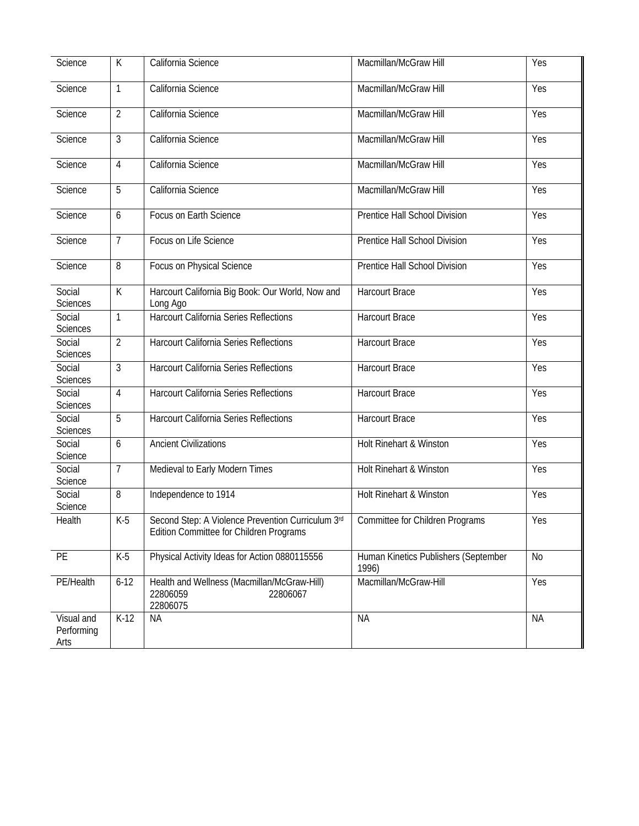| Science                          | $\overline{K}$ | California Science                                                                           | Macmillan/McGraw Hill                         | <b>Yes</b> |
|----------------------------------|----------------|----------------------------------------------------------------------------------------------|-----------------------------------------------|------------|
| Science                          | $\mathbf{1}$   | California Science                                                                           | Macmillan/McGraw Hill                         | Yes        |
| Science                          | $\overline{2}$ | California Science                                                                           | Macmillan/McGraw Hill                         | Yes        |
| Science                          | $\mathfrak{Z}$ | California Science                                                                           | Macmillan/McGraw Hill                         | Yes        |
| Science                          | $\overline{4}$ | California Science                                                                           | Macmillan/McGraw Hill                         | Yes        |
| Science                          | 5              | California Science                                                                           | Macmillan/McGraw Hill                         | Yes        |
| Science                          | 6              | Focus on Earth Science                                                                       | Prentice Hall School Division                 | Yes        |
| Science                          | $\overline{7}$ | Focus on Life Science                                                                        | Prentice Hall School Division                 | Yes        |
| Science                          | 8              | Focus on Physical Science                                                                    | Prentice Hall School Division                 | Yes        |
| Social<br>Sciences               | $\mathsf{K}$   | Harcourt California Big Book: Our World, Now and<br>Long Ago                                 | <b>Harcourt Brace</b>                         | Yes        |
| Social<br><b>Sciences</b>        | $\mathbf{1}$   | <b>Harcourt California Series Reflections</b>                                                | <b>Harcourt Brace</b>                         | Yes        |
| Social<br><b>Sciences</b>        | $\overline{2}$ | Harcourt California Series Reflections                                                       | <b>Harcourt Brace</b>                         | Yes        |
| Social<br><b>Sciences</b>        | 3              | Harcourt California Series Reflections                                                       | <b>Harcourt Brace</b>                         | Yes        |
| Social<br>Sciences               | $\overline{4}$ | <b>Harcourt California Series Reflections</b>                                                | <b>Harcourt Brace</b>                         | Yes        |
| Social<br><b>Sciences</b>        | 5              | Harcourt California Series Reflections                                                       | <b>Harcourt Brace</b>                         | Yes        |
| Social<br>Science                | 6              | <b>Ancient Civilizations</b>                                                                 | Holt Rinehart & Winston                       | Yes        |
| Social<br>Science                | $\overline{7}$ | Medieval to Early Modern Times                                                               | Holt Rinehart & Winston                       | Yes        |
| Social<br>Science                | 8              | Independence to 1914                                                                         | Holt Rinehart & Winston                       | Yes        |
| Health                           | $K-5$          | Second Step: A Violence Prevention Curriculum 3rd<br>Edition Committee for Children Programs | Committee for Children Programs               | Yes        |
| PE                               | $K-5$          | Physical Activity Ideas for Action 0880115556                                                | Human Kinetics Publishers (September<br>1996) | No         |
| PE/Health                        | $6 - 12$       | Health and Wellness (Macmillan/McGraw-Hill)<br>22806059<br>22806067<br>22806075              | Macmillan/McGraw-Hill                         | Yes        |
| Visual and<br>Performing<br>Arts | $K-12$         | <b>NA</b>                                                                                    | <b>NA</b>                                     | <b>NA</b>  |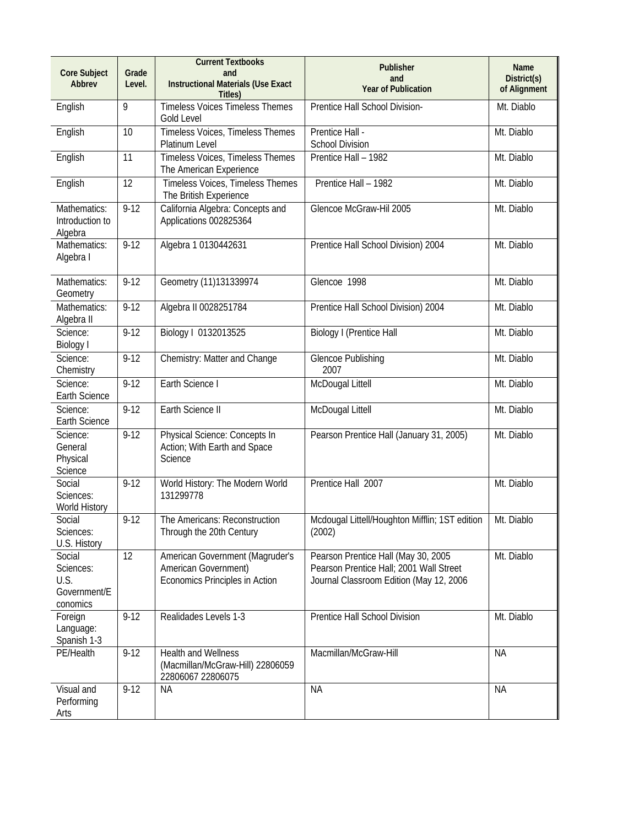| <b>Core Subject</b><br>Abbrev                           | Grade<br>Level. | <b>Current Textbooks</b><br>and<br><b>Instructional Materials (Use Exact</b><br>Titles)   | Publisher<br>and<br><b>Year of Publication</b>                                                                            | Name<br>District(s)<br>of Alignment |
|---------------------------------------------------------|-----------------|-------------------------------------------------------------------------------------------|---------------------------------------------------------------------------------------------------------------------------|-------------------------------------|
| English                                                 | 9               | <b>Timeless Voices Timeless Themes</b><br>Gold Level                                      | Prentice Hall School Division-                                                                                            | Mt. Diablo                          |
| English                                                 | 10              | Timeless Voices, Timeless Themes<br>Platinum Level                                        | Prentice Hall -<br><b>School Division</b>                                                                                 | Mt. Diablo                          |
| English                                                 | 11              | Timeless Voices, Timeless Themes<br>The American Experience                               | Prentice Hall - 1982                                                                                                      | Mt. Diablo                          |
| English                                                 | 12              | Timeless Voices, Timeless Themes<br>The British Experience                                | Prentice Hall - 1982                                                                                                      | Mt. Diablo                          |
| Mathematics:<br>Introduction to<br>Algebra              | $9 - 12$        | California Algebra: Concepts and<br>Applications 002825364                                | Glencoe McGraw-Hil 2005                                                                                                   | Mt. Diablo                          |
| Mathematics:<br>Algebra I                               | $9 - 12$        | Algebra 1 0130442631                                                                      | Prentice Hall School Division) 2004                                                                                       | Mt. Diablo                          |
| Mathematics:<br>Geometry                                | $9 - 12$        | Geometry (11)131339974                                                                    | Glencoe 1998                                                                                                              | Mt. Diablo                          |
| Mathematics:<br>Algebra II                              | $9 - 12$        | Algebra II 0028251784                                                                     | Prentice Hall School Division) 2004                                                                                       | Mt. Diablo                          |
| Science:<br><b>Biology I</b>                            | $9 - 12$        | Biology I 0132013525                                                                      | <b>Biology I (Prentice Hall</b>                                                                                           | Mt. Diablo                          |
| Science:<br>Chemistry                                   | $9 - 12$        | Chemistry: Matter and Change                                                              | <b>Glencoe Publishing</b><br>2007                                                                                         | Mt. Diablo                          |
| Science:<br>Earth Science                               | $9 - 12$        | Earth Science I                                                                           | McDougal Littell                                                                                                          | Mt. Diablo                          |
| Science:<br>Earth Science                               | $9 - 12$        | Earth Science II                                                                          | McDougal Littell                                                                                                          | Mt. Diablo                          |
| Science:<br>General<br>Physical<br>Science              | $9-12$          | Physical Science: Concepts In<br>Action; With Earth and Space<br>Science                  | Pearson Prentice Hall (January 31, 2005)                                                                                  | Mt. Diablo                          |
| Social<br>Sciences:<br>World History                    | $9 - 12$        | World History: The Modern World<br>131299778                                              | Prentice Hall 2007                                                                                                        | Mt. Diablo                          |
| Social<br>Sciences:<br>U.S. History                     | $9 - 12$        | The Americans: Reconstruction<br>Through the 20th Century                                 | Mcdougal Littell/Houghton Mifflin; 1ST edition<br>(2002)                                                                  | Mt. Diablo                          |
| Social<br>Sciences:<br>U.S.<br>Government/E<br>conomics | 12              | American Government (Magruder's<br>American Government)<br>Economics Principles in Action | Pearson Prentice Hall (May 30, 2005<br>Pearson Prentice Hall; 2001 Wall Street<br>Journal Classroom Edition (May 12, 2006 | Mt. Diablo                          |
| Foreign<br>Language:<br>Spanish 1-3                     | $9 - 12$        | Realidades Levels 1-3                                                                     | Prentice Hall School Division                                                                                             | Mt. Diablo                          |
| PE/Health                                               | $9 - 12$        | <b>Health and Wellness</b><br>(Macmillan/McGraw-Hill) 22806059<br>22806067 22806075       | Macmillan/McGraw-Hill                                                                                                     | <b>NA</b>                           |
| Visual and<br>Performing<br>Arts                        | $9 - 12$        | <b>NA</b>                                                                                 | <b>NA</b>                                                                                                                 | <b>NA</b>                           |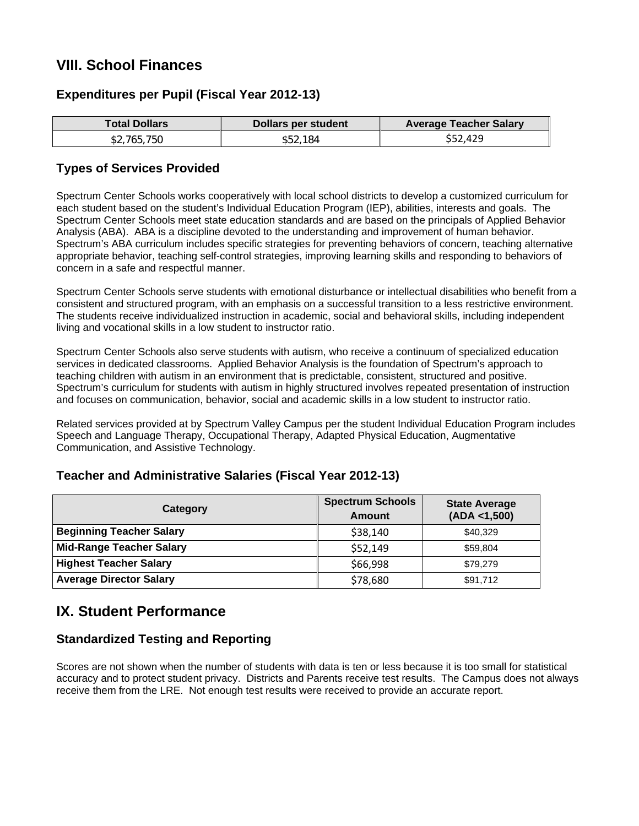## **VIII. School Finances**

### **Expenditures per Pupil (Fiscal Year 2012-13)**

| <b>Total Dollars</b> | Dollars per student | <b>Average Teacher Salary</b> |
|----------------------|---------------------|-------------------------------|
| \$2,765,750          | \$52.184            | \$52,429                      |

### **Types of Services Provided**

Spectrum Center Schools works cooperatively with local school districts to develop a customized curriculum for each student based on the student's Individual Education Program (IEP), abilities, interests and goals. The Spectrum Center Schools meet state education standards and are based on the principals of Applied Behavior Analysis (ABA). ABA is a discipline devoted to the understanding and improvement of human behavior. Spectrum's ABA curriculum includes specific strategies for preventing behaviors of concern, teaching alternative appropriate behavior, teaching self-control strategies, improving learning skills and responding to behaviors of concern in a safe and respectful manner.

Spectrum Center Schools serve students with emotional disturbance or intellectual disabilities who benefit from a consistent and structured program, with an emphasis on a successful transition to a less restrictive environment. The students receive individualized instruction in academic, social and behavioral skills, including independent living and vocational skills in a low student to instructor ratio.

Spectrum Center Schools also serve students with autism, who receive a continuum of specialized education services in dedicated classrooms. Applied Behavior Analysis is the foundation of Spectrum's approach to teaching children with autism in an environment that is predictable, consistent, structured and positive. Spectrum's curriculum for students with autism in highly structured involves repeated presentation of instruction and focuses on communication, behavior, social and academic skills in a low student to instructor ratio.

Related services provided at by Spectrum Valley Campus per the student Individual Education Program includes Speech and Language Therapy, Occupational Therapy, Adapted Physical Education, Augmentative Communication, and Assistive Technology.

| Category                        | <b>Spectrum Schools</b><br>Amount | <b>State Average</b><br>(ADA < 1,500) |
|---------------------------------|-----------------------------------|---------------------------------------|
| <b>Beginning Teacher Salary</b> | \$38,140                          | \$40,329                              |
| <b>Mid-Range Teacher Salary</b> | \$52,149                          | \$59,804                              |
| <b>Highest Teacher Salary</b>   | \$66,998                          | \$79,279                              |
| <b>Average Director Salary</b>  | \$78,680                          | \$91,712                              |

### **Teacher and Administrative Salaries (Fiscal Year 2012-13)**

## **IX. Student Performance**

### **Standardized Testing and Reporting**

Scores are not shown when the number of students with data is ten or less because it is too small for statistical accuracy and to protect student privacy. Districts and Parents receive test results. The Campus does not always receive them from the LRE. Not enough test results were received to provide an accurate report.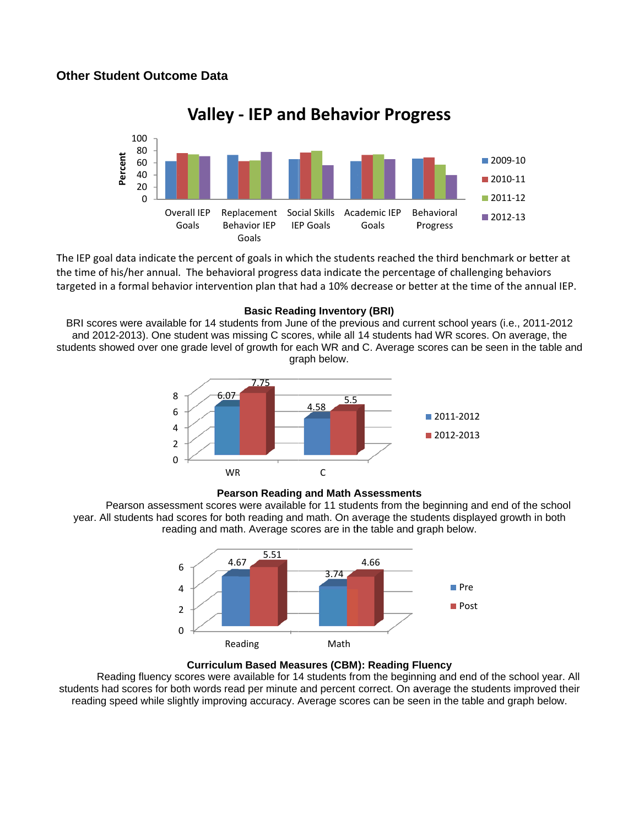

**Valley ‐ IEP and d Behav vior Prog gress**

The IEP goal data indicate the percent of goals in which the students reached the third benchmark or be the time of his/her annual. The behavioral progress data indicate the percentage of challenging behaviors targeted in a formal behavior intervention plan that had a 10% decrease or better at the time of the annual IEP.

#### **Basic Reading Inventory (BRI)**

students showed over one grade level of growth for each WR and C. Average scores can be seen in the table and BRI scores were available for 14 students from June of the previous and current school years (i.e., 2011-2012 and 2012-2013). One student was missing C scores, while all 14 students had WR scores. On average, the graph below. nchmark or better at<br>enging behaviors<br>ime of the annual IEI<br>vears (i.e., 2011-2012<br>res. On average, the<br>be seen in the table a<br>and end of the school<br>ayed growth in both<br>.<br>t



#### **Pearson Reading and Math Assessments**

Pearson assessment scores were available for 11 students from the beginning and end of the school year. All students had scores for both reading and math. On average the students displayed growth in both reading and math. Average scores are in the table and graph below.





students had scores for both words read per minute and percent correct. On average the students improved their Reading fluency scores were available for 14 students from the beginning and end of the school year. All reading speed while slightly improving accuracy. Average scores can be seen in the table and graph below.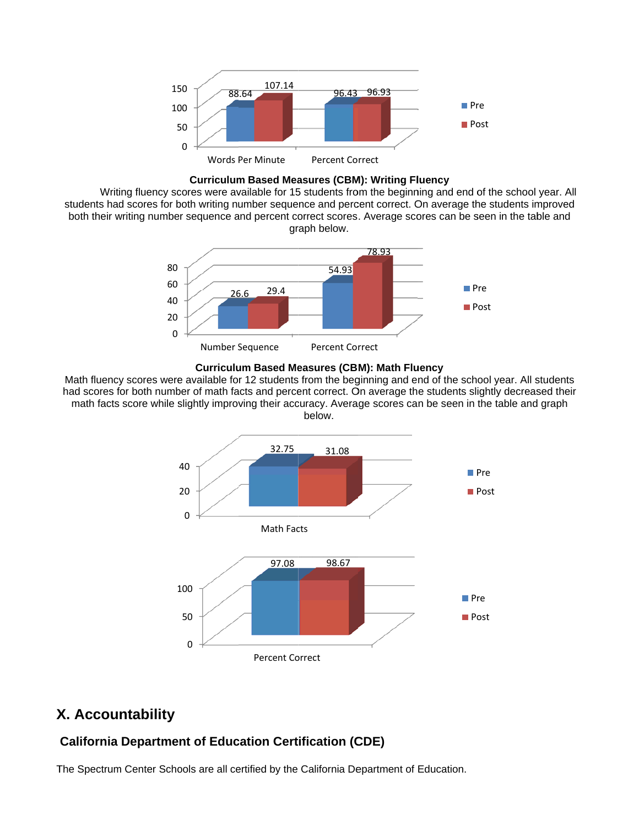

**Curriculum Based Measures (CBM): Writing Fluency** 

Writing fluency scores were available for 15 students from the beginning and end of the school year. All students had scores for both writing number sequence and percent correct. On average the students improved both their writing number sequence and percent correct scores. Average scores can be seen in the table and graph below.





Math fluency scores were available for 12 students from the beginning and end of the school year. All students had scores for both number of math facts and percent correct. On average the students slightly decreased their math facts score while slightly improving their accuracy. Average scores can be seen in the table and graph below.



## **X X. Accou ntability**

## **California Department of Education Certification (CDE)**

The Spectrum Center Schools are all certified by the California Department of Education.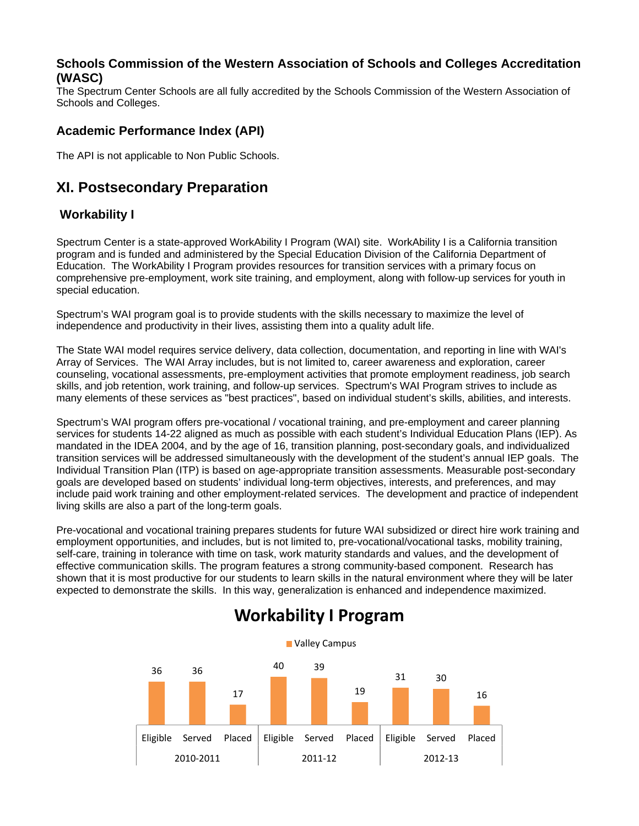### **Schools Commission of the Western Association of Schools and Colleges Accreditation (WASC)**

The Spectrum Center Schools are all fully accredited by the Schools Commission of the Western Association of Schools and Colleges.

### **Academic Performance Index (API)**

The API is not applicable to Non Public Schools.

## **XI. Postsecondary Preparation**

### **Workability I**

Spectrum Center is a state-approved WorkAbility I Program (WAI) site. WorkAbility I is a California transition program and is funded and administered by the Special Education Division of the California Department of Education. The WorkAbility I Program provides resources for transition services with a primary focus on comprehensive pre-employment, work site training, and employment, along with follow-up services for youth in special education.

Spectrum's WAI program goal is to provide students with the skills necessary to maximize the level of independence and productivity in their lives, assisting them into a quality adult life.

The State WAI model requires service delivery, data collection, documentation, and reporting in line with WAI's Array of Services. The WAI Array includes, but is not limited to, career awareness and exploration, career counseling, vocational assessments, pre-employment activities that promote employment readiness, job search skills, and job retention, work training, and follow-up services. Spectrum's WAI Program strives to include as many elements of these services as "best practices", based on individual student's skills, abilities, and interests.

Spectrum's WAI program offers pre-vocational / vocational training, and pre-employment and career planning services for students 14-22 aligned as much as possible with each student's Individual Education Plans (IEP). As mandated in the IDEA 2004, and by the age of 16, transition planning, post-secondary goals, and individualized transition services will be addressed simultaneously with the development of the student's annual IEP goals. The Individual Transition Plan (ITP) is based on age-appropriate transition assessments. Measurable post-secondary goals are developed based on students' individual long-term objectives, interests, and preferences, and may include paid work training and other employment-related services. The development and practice of independent living skills are also a part of the long-term goals.

Pre-vocational and vocational training prepares students for future WAI subsidized or direct hire work training and employment opportunities, and includes, but is not limited to, pre-vocational/vocational tasks, mobility training, self-care, training in tolerance with time on task, work maturity standards and values, and the development of effective communication skills. The program features a strong community-based component. Research has shown that it is most productive for our students to learn skills in the natural environment where they will be later expected to demonstrate the skills. In this way, generalization is enhanced and independence maximized.



# **Workability I Program**